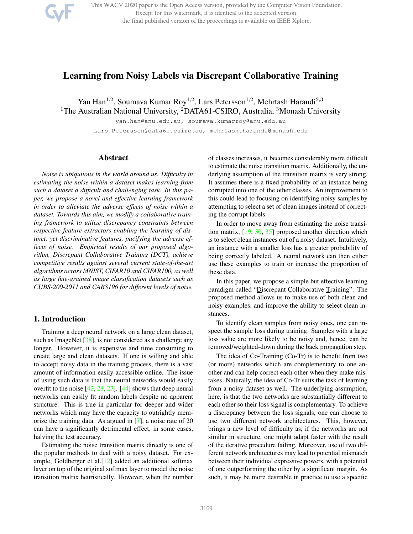

This WACV 2020 paper is the Open Access version, provided by the Computer Vision Foundation. Except for this watermark, it is identical to the accepted version; the final published version of the proceedings is available on IEEE Xplore.

# Learning from Noisy Labels via Discrepant Collaborative Training

Yan Han<sup>1,2</sup>, Soumava Kumar Roy<sup>1,2</sup>, Lars Petersson<sup>1,2</sup>, Mehrtash Harandi<sup>2,3</sup> <sup>1</sup>The Australian National University, <sup>2</sup>DATA61-CSIRO, Australia, <sup>3</sup>Monash University

> yan.han@anu.edu.au, soumava.kumarroy@anu.edu.au Lars.Petersson@data61.csiro.au, mehrtash.harandi@monash.edu

## Abstract

*Noise is ubiquitous in the world around us. Difficulty in estimating the noise within a dataset makes learning from such a dataset a difficult and challenging task. In this paper, we propose a novel and effective learning framework in order to alleviate the adverse effects of noise within a dataset. Towards this aim, we modify a collaborative training framework to utilize discrepancy constraints between respective feature extractors enabling the learning of distinct, yet discriminative features, pacifying the adverse effects of noise. Empirical results of our proposed algorithm, Discrepant Collaborative Training (DCT), achieve competitive results against several current state-of-the-art algorithms across MNIST, CIFAR10 and CIFAR100, as well as large fine-grained image classification datasets such as CUBS-200-2011 and CARS196 for different levels of noise.*

## 1. Introduction

Training a deep neural network on a large clean dataset, such as ImageNet [38], is not considered as a challenge any longer. However, it is expensive and time consuming to create large and clean datasets. If one is willing and able to accept noisy data in the training process, there is a vast amount of information easily accessible online. The issue of using such data is that the neural networks would easily overfit to the noise  $[42, 28, 27]$ .  $[44]$  shows that deep neural networks can easily fit random labels despite no apparent structure. This is true in particular for deeper and wider networks which may have the capacity to outrightly memorize the training data. As argued in [7], a noise rate of 20 can have a significantly detrimental effect, in some cases, halving the test accuracy.

Estimating the noise transition matrix directly is one of the popular methods to deal with a noisy dataset. For example, Goldberger et al.[12] added an additional softmax layer on top of the original softmax layer to model the noise transition matrix heuristically. However, when the number

of classes increases, it becomes considerably more difficult to estimate the noise transition matrix. Additionally, the underlying assumption of the transition matrix is very strong. It assumes there is a fixed probability of an instance being corrupted into one of the other classes. An improvement to this could lead to focusing on identifying noisy samples by attempting to select a set of clean images instead of correcting the corrupt labels.

In order to move away from estimating the noise transition matrix, [19, 30, 35] proposed another direction which is to select clean instances out of a noisy dataset. Intuitively, an instance with a smaller loss has a greater probability of being correctly labeled. A neural network can then either use these examples to train or increase the proportion of these data.

In this paper, we propose a simple but effective learning paradigm called "Discrepant Collaborative Training". The proposed method allows us to make use of both clean and noisy examples, and improve the ability to select clean instances.

To identify clean samples from noisy ones, one can inspect the sample loss during training. Samples with a large loss value are more likely to be noisy and, hence, can be removed/weighted-down during the back propagation step.

The idea of Co-Training (Co-Tr) is to benefit from two (or more) networks which are complementary to one another and can help correct each other when they make mistakes. Naturally, the idea of Co-Tr suits the task of learning from a noisy dataset as well. The underlying assumption, here, is that the two networks are substantially different to each other so their loss signal is complementary. To achieve a discrepancy between the loss signals, one can choose to use two different network architectures. This, however, brings a new level of difficulty as, if the networks are not similar in structure, one might adapt faster with the result of the iterative procedure failing. Moreover, use of two different network architectures may lead to potential mismatch between their individual expressive powers, with a potential of one outperforming the other by a significant margin. As such, it may be more desirable in practice to use a specific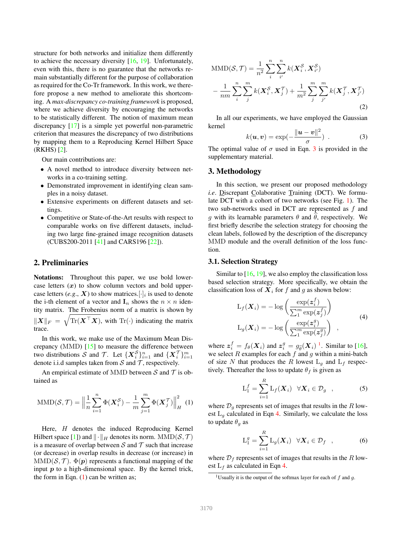structure for both networks and initialize them differently to achieve the necessary diversity  $[16, 19]$ . Unfortunately, even with this, there is no guarantee that the networks remain substantially different for the purpose of collaboration as required for the Co-Tr framework. In this work, we therefore propose a new method to ameliorate this shortcoming. A *max-discrepancy co-training framework* is proposed, where we achieve diversity by encouraging the networks to be statistically different. The notion of maximum mean discrepancy [17] is a simple yet powerful non-parametric criterion that measures the discrepancy of two distributions by mapping them to a Reproducing Kernel Hilbert Space (RKHS) [2].

Our main contributions are:

- A novel method to introduce diversity between networks in a co-training setting.
- Demonstrated improvement in identifying clean samples in a noisy dataset.
- Extensive experiments on different datasets and settings.
- Competitive or State-of-the-Art results with respect to comparable works on five different datasets, including two large fine-grained image recognition datasets (CUBS200-2011 [41] and CARS196 [22]).

## 2. Preliminaries

Notations: Throughout this paper, we use bold lowercase letters  $(x)$  to show column vectors and bold uppercase letters (*e.g.,*  $X$ ) to show matrices.[ $\cdot$ ]<sub>*i*</sub> is used to denote the i-th element of a vector and  $\mathbf{I}_n$  shows the  $n \times n$  identity matrix. The Frobenius norm of a matrix is shown by  $\|\boldsymbol{X}\|_F = \sqrt{\text{Tr}(\boldsymbol{X}^\top \boldsymbol{X})}$ , with  $\text{Tr}(\cdot)$  indicating the matrix trace.

In this work, we make use of the Maximum Mean Discrepancy (MMD) [15] to measure the difference between two distributions S and T. Let  $\{X_i^S\}_{i=1}^n$  and  $\{X_i^T\}_{i=1}^m$ denote i.i.d samples taken from  $S$  and  $T$ , respectively.

An empirical estimate of MMD between S and  $\mathcal T$  is obtained as

$$
\text{MMD}(\mathcal{S}, \mathcal{T}) = \left\| \frac{1}{n} \sum_{i=1}^{n} \Phi(\mathbf{X}_i^{\mathcal{S}}) - \frac{1}{m} \sum_{j=1}^{m} \Phi(\mathbf{X}_j^{\mathcal{T}}) \right\|_{H}^{2} (1)
$$

Here, H denotes the induced Reproducing Kernel Hilbert space [1]) and  $\|\cdot\|_H$  denotes its norm. MMD( $\mathcal{S}, \mathcal{T}$ ) is a measure of overlap between  $S$  and  $T$  such that increase (or decrease) in overlap results in decrease (or increase) in  $MMD(S, \mathcal{T})$ .  $\Phi(\mathbf{p})$  represents a functional mapping of the input  $p$  to a high-dimensional space. By the kernel trick, the form in Eqn.  $(1)$  can be written as;

$$
\begin{split} \text{MMD}(\mathcal{S}, \mathcal{T}) &= \frac{1}{n^2} \sum_{i}^{n} \sum_{i'}^{n} k(\mathbf{X}_{i}^{\mathcal{S}}, \mathbf{X}_{i'}^{\mathcal{S}}) \\ &- \frac{1}{nm} \sum_{i}^{n} \sum_{j}^{m} k(\mathbf{X}_{i}^{\mathcal{S}}, \mathbf{X}_{j'}^{\mathcal{T}}) + \frac{1}{m^2} \sum_{j}^{m} \sum_{j'}^{m} k(\mathbf{X}_{j}^{\mathcal{T}}, \mathbf{X}_{j'}^{\mathcal{T}}) \end{split} \tag{2}
$$

In all our experiments, we have employed the Gaussian kernel

$$
k(\boldsymbol{u}, \boldsymbol{v}) = \exp(-\frac{\|\boldsymbol{u} - \boldsymbol{v}\|^2}{\sigma}) \tag{3}
$$

The optimal value of  $\sigma$  used in Eqn. 3 is provided in the supplementary material.

## 3. Methodology

In this section, we present our proposed methodology *i.e*. Discrepant Colaborative Training (DCT). We formulate DCT with a cohort of two networks (see Fig. 1). The two sub-networks used in DCT are represented as  $f$  and g with its learnable parameters  $\theta$  and  $\hat{\theta}$ , respectively. We first briefly describe the selection strategy for choosing the clean labels, followed by the description of the discrepancy MMD module and the overall definition of the loss function.

#### 3.1. Selection Strategy

Similar to  $[16, 19]$ , we also employ the classification loss based selection strategy. More specifically, we obtain the classification loss of  $X_i$  for f and g as shown below:

$$
L_f(\boldsymbol{X}_i) = -\log\left(\frac{\exp(\boldsymbol{z}_i^f)}{\sum_1^m \exp(\boldsymbol{z}_j^f)}\right)
$$
  

$$
L_g(\boldsymbol{X}_i) = -\log\left(\frac{\exp(\boldsymbol{z}_i^g)}{\sum_1^m \exp(\boldsymbol{z}_j^g)}\right) ,
$$
 (4)

where  $\mathbf{z}_i^f = f_\theta(\mathbf{X}_i)$  and  $\mathbf{z}_i^g = g_{\widehat{\theta}}(\mathbf{X}_i)$ <sup>1</sup>. Similar to [16], we select  $R$  examples for each  $f$  and  $g$  within a mini-batch of size N that produces the R lowest  $L_q$  and  $L_f$  respectively. Thereafter the loss to update  $\theta_f$  is given as

$$
L_1^f = \sum_{i=1}^R L_f(\boldsymbol{X}_i) \quad \forall \boldsymbol{X}_i \in \mathcal{D}_g \quad , \tag{5}
$$

where  $\mathcal{D}_q$  represents set of images that results in the R lowest  $L_q$  calculated in Eqn 4. Similarly, we calculate the loss to update  $\theta_g$  as

$$
L_1^g = \sum_{i=1}^R L_g(\boldsymbol{X}_i) \quad \forall \boldsymbol{X}_i \in \mathcal{D}_f \quad , \tag{6}
$$

where  $\mathcal{D}_f$  represents set of images that results in the R lowest  $L_f$  as calculated in Eqn 4.

<sup>&</sup>lt;sup>1</sup>Usually it is the output of the softmax layer for each of  $f$  and  $q$ .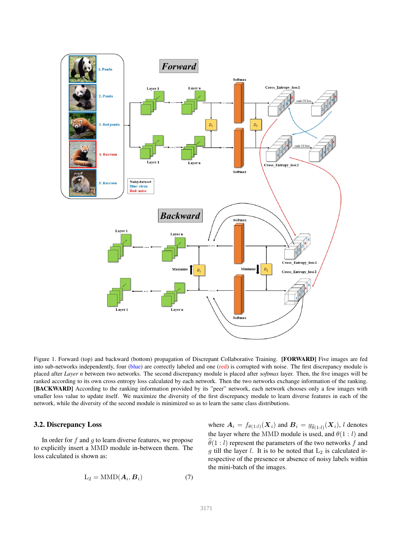

Figure 1. Forward (top) and backward (bottom) propagation of Discrepant Collaborative Training. [FORWARD] Five images are fed into sub-networks independently, four (blue) are correctly labeled and one (red) is corrupted with noise. The first discrepancy module is placed after *Layer n* between two networks. The second discrepancy module is placed after *softmax* layer. Then, the five images will be ranked according to its own cross entropy loss calculated by each network. Then the two networks exchange information of the ranking. [BACKWARD] According to the ranking information provided by its "peer" network, each network chooses only a few images with smaller loss value to update itself. We maximize the diversity of the first discrepancy module to learn diverse features in each of the network, while the diversity of the second module is minimized so as to learn the same class distributions.

## 3.2. Discrepancy Loss

In order for  $f$  and  $g$  to learn diverse features, we propose to explicitly insert a MMD module in-between them. The loss calculated is shown as:

$$
L_2 = \text{MMD}(\boldsymbol{A}_i, \boldsymbol{B}_i) \tag{7}
$$

where  $\boldsymbol{A}_i = f_{\theta(1:l)}(\boldsymbol{X}_i)$  and  $\boldsymbol{B}_i = g_{\widehat{\theta}(1:l)}(\boldsymbol{X}_i)$ , l denotes the layer where the MMD module is used, and  $\theta(1 : l)$  and  $\hat{\theta}(1 : l)$  represent the parameters of the two networks f and g till the layer  $l$ . It is to be noted that  $L_2$  is calculated irrespective of the presence or absence of noisy labels within the mini-batch of the images.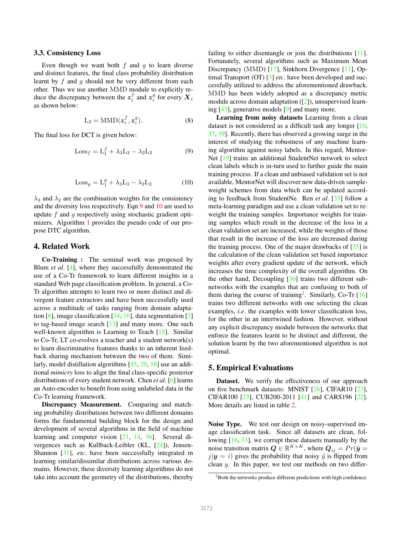#### 3.3. Consistency Loss

Even though we want both  $f$  and  $g$  to learn diverse and distinct features, the final class probability distribution learnt by  $f$  and  $g$  should not be very different from each other. Thus we use another MMD module to explicitly reduce the discrepancy between the  $z_i^f$  and  $z_i^g$  for every  $X_i$ as shown below:

$$
L_3 = MMD(z_i^f, z_i^g). \tag{8}
$$

The final loss for DCT is given below:

$$
Loss_f = L_1^f + \lambda_3 L_3 - \lambda_2 L_2 \tag{9}
$$

$$
Loss_g = L_1^g + \lambda_3 L_3 - \lambda_2 L_2 \tag{10}
$$

 $\lambda_3$  and  $\lambda_2$  are the combination weights for the consistency and the diversity loss respectively. Eqn 9 and 10 are used to update  $f$  and  $g$  respectively using stochastic gradient optimizers. Algorithm 1 provides the pseudo code of our propose DTC algorithm.

## 4. Related Work

Co-Training : The seminal work was proposed by Blum *et al*. [4], where they successfully demonstrated the use of a Co-Tr framework to learn different insights in a standard Web page classification problem. In general, a Co-Tr algorithm attempts to learn two or more distinct and divergent feature extractors and have been successfully used across a multitude of tasks ranging from domain adaptation  $[6]$ , image classification  $[34, 16]$ , data segmentation  $[5]$ to tag-based image search [13] and many more. One such well-known algorithm is Learning to Teach [18]. Similar to Co-Tr, LT co-evolves a teacher and a student network(s) to learn discriminative features thanks to an inherent feedback sharing mechanism between the two of them. Similarly, model distillation algorithms [45, 29, 18] use an additional *mimicry* loss to align the final class-specific posterior distributions of every student network. Chen *et al*. [6] learns an Auto-encoder to benefit from using unlabeled data in the Co-Tr learning framework.

Discrepancy Measurement. Comparing and matching probability distributions between two different domains forms the fundamental building block for the design and development of several algorithms in the field of machine learning and computer vision [21, 14, 36]. Several divergences such as Kullback-Leibler (KL, [24]), Jensen-Shannon [31], *etc*. have been successfully integrated in learning similar/dissimilar distributions across various domains. However, these diversity learning algorithms do not take into account the geometry of the distributions, thereby

failing to either disentangle or join the distributions [11]. Fortunately, several algorithms such as Maximum Mean Discrepancy (MMD) [17], Sinkhorn Divergence [11], Optimal Transport (OT) [3] *etc*. have been developed and successfully utilized to address the aforementioned drawback. MMD has been widely adopted as a discrepancy metric module across domain adaptation ([2]), unsupervised learning [43], generative models [9] and many more.

Learning from noisy datasets Learning from a clean dataset is not considered as a difficult task any longer [10, 37, 39]. Recently, there has observed a growing surge in the interest of studying the robustness of any machine learning algorithm against noisy labels. In this regard, Mentor-Net [19] trains an additional StudentNet network to select clean labels which is in-turn used to further guide the main training process. If a clean and unbiased validation set is not available, MentorNet will discover new data-driven sampleweight schemes from data which can be updated according to feedback from StudentNe. Ren *et al*. [35] follow a meta-learning paradigm and use a clean validation set to reweight the training samples. Importance weights for training samples which result in the decrease of the loss in a clean validation set are increased, while the weights of those that result in the increase of the loss are decreased during the training process. One of the major drawbacks of  $[35]$  is the calculation of the clean validation set based importance weights after every gradient update of the network, which increases the time complexity of the overall algorithm. On the other hand, Decoupling [30] trains two different subnetworks with the examples that are confusing to both of them during the course of training<sup>2</sup>. Similarly, Co-Tr  $[16]$ trains two different networks with one selecting the clean examples, *i.e*. the examples with lower classification loss, for the other in an intertwined fashion. However, without any explicit discrepancy module between the networks that enforce the features learnt to be distinct and different, the solution learnt by the two aforementioned algorithm is not optimal.

#### 5. Empirical Evaluations

Dataset. We verify the effectiveness of our approach on five benchmark datasets: MNIST [26], CIFAR10 [23], CIFAR100 [23], CUB200-2011 [41] and CARS196 [22]. More details are listed in table 2.

Noise Type. We test our design on noisy-supervised image classification task. Since all datasets are clean, following [16, 33], we corrupt these datasets manually by the noise transition matrix  $\boldsymbol{Q} \in \mathbb{R}^{K \times K}$ , where  $\boldsymbol{Q}_{ij} = Pr(\tilde{\boldsymbol{y}})$  $j|\mathbf{y} = i$  gives the probability that noisy  $\tilde{y}$  is flipped from clean  $y$ . In this paper, we test our methods on two differ-

<sup>&</sup>lt;sup>2</sup>Both the networks produce different predictions with high confidence.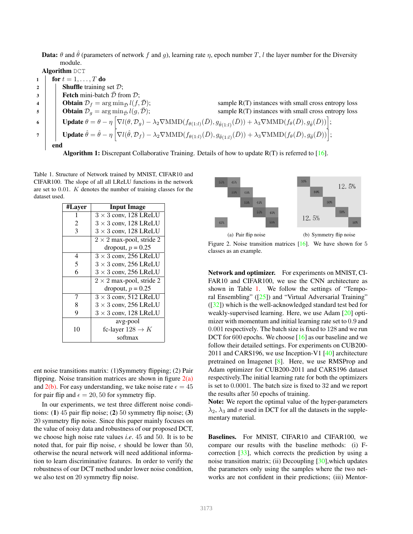**Data:**  $\theta$  and  $\hat{\theta}$  (parameters of network f and g), learning rate  $\eta$ , epoch number T, l the layer number for the Diversity module.

Algorithm DCT

|                | for $t = 1, \ldots, T$ do                                                                                                                                                                                                                                                      |  |  |  |  |  |
|----------------|--------------------------------------------------------------------------------------------------------------------------------------------------------------------------------------------------------------------------------------------------------------------------------|--|--|--|--|--|
| $\overline{2}$ | <b>Shuffle</b> training set $\mathcal{D}$ ;                                                                                                                                                                                                                                    |  |  |  |  |  |
| $\mathbf{3}$   | <b>Fetch</b> mini-batch $\overline{\mathcal{D}}$ from $\mathcal{D}$ ;                                                                                                                                                                                                          |  |  |  |  |  |
| $\overline{4}$ | <b>Obtain</b> $\mathcal{D}_f = \arg \min_{\mathcal{D}} l(f, \mathcal{D});$<br>sample $R(T)$ instances with small cross entropy loss                                                                                                                                            |  |  |  |  |  |
| 5              | <b>Obtain</b> $\mathcal{D}_q = \arg \min_{\mathcal{D}} l(g, \mathcal{\bar{D}});$<br>sample R(T) instances with small cross entropy loss                                                                                                                                        |  |  |  |  |  |
| -6             | $\text{Update } \theta = \theta - \eta \left[ \nabla l(\theta, \mathcal{D}_g) - \lambda_2 \nabla \text{MMD}(f_{\theta(1:l)}(\bar{D}), g_{\hat{\theta}(1:l)}(\bar{D})) + \lambda_3 \nabla \text{MMD}(f_{\theta}(\bar{D}), g_{\hat{\theta}}(\bar{D})) \right];$                  |  |  |  |  |  |
|                | <b>Update</b> $\hat{\theta} = \hat{\theta} - \eta \left[ \nabla l(\hat{\theta}, \mathcal{D}_f) - \lambda_2 \nabla \text{MMD}(f_{\theta(1:l)}(\bar{D}), g_{\hat{\theta}(1:l)}(\bar{D})) + \lambda_3 \nabla \text{MMD}(f_{\theta}(\bar{D}), g_{\hat{\theta}}(\bar{D})) \right];$ |  |  |  |  |  |
|                | end                                                                                                                                                                                                                                                                            |  |  |  |  |  |
|                | <b>Algorithm 1:</b> Discrepant Collaborative Training. Details of how to update $R(T)$ is referred to [16].                                                                                                                                                                    |  |  |  |  |  |

Table 1. Structure of Network trained by MNIST, CIFAR10 and CIFAR100. The slope of all all LReLU functions in the network are set to 0.01. K denotes the number of training classes for the dataset used.

| #Layer | <b>Input Image</b>              |  |  |  |
|--------|---------------------------------|--|--|--|
|        | $3 \times 3$ conv, 128 LReLU    |  |  |  |
| 2      | $3 \times 3$ conv, 128 LReLU    |  |  |  |
| 3      | $3 \times 3$ conv, 128 LReLU    |  |  |  |
|        | $2 \times 2$ max-pool, stride 2 |  |  |  |
|        | dropout, $p = 0.25$             |  |  |  |
| 4      | $3 \times 3$ conv, 256 LReLU    |  |  |  |
| 5      | $3 \times 3$ conv, 256 LReLU    |  |  |  |
| 6      | $3 \times 3$ conv, 256 LReLU    |  |  |  |
|        | $2 \times 2$ max-pool, stride 2 |  |  |  |
|        | dropout, $p = 0.25$             |  |  |  |
| 7      | $3 \times 3$ conv, 512 LReLU    |  |  |  |
| 8      | $3 \times 3$ conv, 256 LReLU    |  |  |  |
| 9      | $3 \times 3$ conv, 128 LReLU    |  |  |  |
|        | avg-pool                        |  |  |  |
| 10     | fc-layer $128 \rightarrow K$    |  |  |  |
|        | softmax                         |  |  |  |

ent noise transitions matrix: (1)Symmetry flipping; (2) Pair flipping. Noise transition matrices are shown in figure  $2(a)$ and  $2(b)$ . For easy understanding, we take noise rate  $\epsilon = 45$ for pair flip and  $\epsilon = 20, 50$  for symmetry flip.

In our experiments, we test three different noise conditions: (1) 45 pair flip noise; (2) 50 symmetry flip noise; (3) 20 symmetry flip noise. Since this paper mainly focuses on the value of noisy data and robustness of our proposed DCT, we choose high noise rate values *i.e*. 45 and 50. It is to be noted that, for pair flip noise,  $\epsilon$  should be lower than 50, otherwise the neural network will need additional information to learn discriminative features. In order to verify the robustness of our DCT method under lower noise condition, we also test on 20 symmetry flip noise.



Figure 2. Noise transition matrices [16]. We have shown for 5 classes as an example.

Network and optimizer. For experiments on MNIST, CI-FAR10 and CIFAR100, we use the CNN architecture as shown in Table 1. We follow the settings of "Temporal Ensembling" ([25]) and "Virtual Adversarial Training" ([32]) which is the well-acknowledged standard test bed for weakly-supervised learning. Here, we use Adam [20] optimizer with momentum and initial learning rate set to 0.9 and 0.001 respectively. The batch size is fixed to 128 and we run DCT for 600 epochs. We choose [16] as our baseline and we follow their detailed settings. For experiments on CUB200- 2011 and CARS196, we use Inception-V1  $[40]$  architecture pretrained on Imagenet [8]. Here, we use RMSProp and Adam optimizer for CUB200-2011 and CARS196 dataset respectively.The initial learning rate for both the optimizers is set to 0.0001. The batch size is fixed to 32 and we report the results after 50 epochs of training.

Note: We report the optimal value of the hyper-parameters  $\lambda_2$ ,  $\lambda_3$  and  $\sigma$  used in DCT for all the datasets in the supplementary material.

Baselines. For MNIST, CIFAR10 and CIFAR100, we compare our results with the baseline methods: (i) Fcorrection [33], which corrects the prediction by using a noise transition matrix; (ii) Decoupling [30],which updates the parameters only using the samples where the two networks are not confident in their predictions; (iii) Mentor-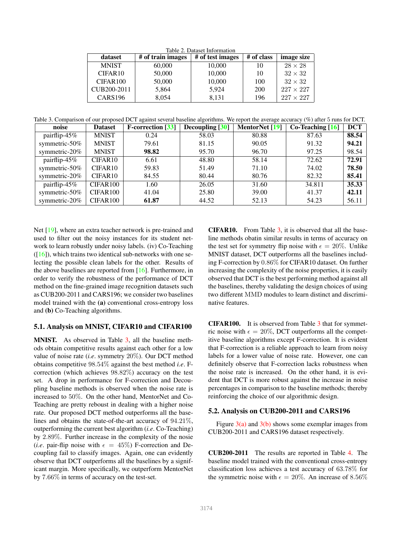Table 2. Dataset Information<br>images | # of test images dataset  $\#$  of train images  $#$  of test images  $#$  of class image size MNIST  $\begin{array}{|c|c|c|c|c|c|c|c|} \hline 60,000 & 10,000 & 10 & 28 \times 28 \ \hline \end{array}$ CIFAR10 | 50,000 | 10,000 | 10 |  $32 \times 32$ CIFAR100 50,000 10,000 100 32 × 32 CUB200-2011 5,864 5,924 200 227  $\times$  227 CARS196 8,054 8,131 196 227  $\times$  227

Table 3. Comparison of our proposed DCT against several baseline algorithms. We report the average accuracy (%) after 5 runs for DCT.

| noise             | <b>Dataset</b>       | <b>F-correction</b> [33] | Decoupling [30] | MentorNet [19] | $Co$ -Teaching $[16]$ | <b>DCT</b> |
|-------------------|----------------------|--------------------------|-----------------|----------------|-----------------------|------------|
| pairflip-45%      | <b>MNIST</b>         | 0.24                     | 58.03           | 80.88          | 87.63                 | 88.54      |
| symmetric- $50\%$ | <b>MNIST</b>         | 79.61                    | 81.15           | 90.05          | 91.32                 | 94.21      |
| symmetric-20%     | <b>MNIST</b>         | 98.82                    | 95.70           | 96.70          | 97.25                 | 98.54      |
| pairflip-45%      | CIFAR10              | 6.61                     | 48.80           | 58.14          | 72.62                 | 72.91      |
| symmetric- $50\%$ | CIFAR <sub>10</sub>  | 59.83                    | 51.49           | 71.10          | 74.02                 | 78.50      |
| symmetric-20%     | CIFAR <sub>10</sub>  | 84.55                    | 80.44           | 80.76          | 82.32                 | 85.41      |
| pairflip-45%      | CIFAR <sub>100</sub> | 1.60                     | 26.05           | 31.60          | 34.811                | 35.33      |
| symmetric- $50\%$ | CIFAR100             | 41.04                    | 25.80           | 39.00          | 41.37                 | 42.11      |
| symmetric-20%     | CIFAR100             | 61.87                    | 44.52           | 52.13          | 54.23                 | 56.11      |

Net [19], where an extra teacher network is pre-trained and used to filter out the noisy instances for its student network to learn robustly under noisy labels. (iv) Co-Teaching  $([16])$ , which trains two identical sub-networks with one selecting the possible clean labels for the other. Results of the above baselines are reported from [16]. Furthermore, in order to verify the robustness of the performance of DCT method on the fine-grained image recognition datasets such as CUB200-2011 and CARS196; we consider two baselines model trained with the (a) conventional cross-entropy loss and (b) Co-Teaching algorithms.

### 5.1. Analysis on MNIST, CIFAR10 and CIFAR100

MNIST. As observed in Table 3, all the baseline methods obtain competitive results against each other for a low value of noise rate (*i.e*. symmetry 20%). Our DCT method obtains competitive 98.54% against the best method *i.e*. Fcorrection (which achieves 98.82%) accuracy on the test set. A drop in performance for F-correction and Decoupling baseline methods is observed when the noise rate is increased to 50%. On the other hand, MentorNet and Co-Teaching are pretty reboust in dealing with a higher noise rate. Our proposed DCT method outperforms all the baselines and obtains the state-of-the-art accuracy of 94.21%, outperforming the current best algorithm (*i.e*. Co-Teaching) by 2.89%. Further increase in the complexity of the nosie (*i.e.* pair-flip noise with  $\epsilon = 45\%$ ) F-correction and Decoupling fail to classify images. Again, one can evidently observe that DCT outperforms all the baselines by a significant margin. More specifically, we outperform MentorNet by 7.66% in terms of accuracy on the test-set.

CIFAR10. From Table 3, it is observed that all the baseline methods obatin similar results in terms of accuracy on the test set for symmetry flip noise with  $\epsilon = 20\%$ . Unlike MNIST dataset, DCT outperforms all the baselines including F-correction by 0.86% for CIFAR10 dataset. On further increasing the complexity of the noise properties, it is easily observed that DCT is the best performing method against all the baselines, thereby validating the design choices of using two different MMD modules to learn distinct and discriminative features.

CIFAR100. It is observed from Table 3 that for symmetric noise with  $\epsilon = 20\%$ , DCT outperforms all the competitive baseline algorithms except F-correction. It is evident that F-correction is a reliable approach to learn from noisy labels for a lower value of noise rate. However, one can definitely observe that F-correction lacks robustness when the noise rate is increased. On the other hand, it is evident that DCT is more robust against the increase in noise percentages in comparison to the baseline methods; thereby reinforcing the choice of our algorithmic design.

## 5.2. Analysis on CUB200-2011 and CARS196

Figure  $3(a)$  and  $3(b)$  shows some exemplar images from CUB200-2011 and CARS196 dataset respectively.

CUB200-2011 The results are reported in Table 4. The baseline model trained with the conventional cross-entropy classification loss achieves a test accuracy of 63.78% for the symmetric noise with  $\epsilon = 20\%$ . An increase of 8.56%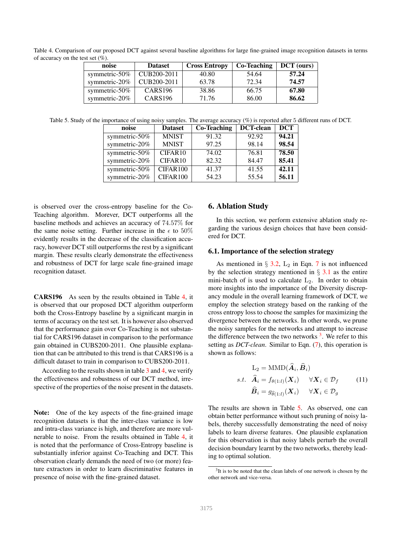Table 4. Comparison of our proposed DCT against several baseline algorithms for large fine-grained image recognition datasets in terms of accuracy on the test set  $(\%)$ .

| noise             | <b>Dataset</b>           | <b>Cross Entropy</b> | Co-Teaching | <b>DCT</b> (ours) |
|-------------------|--------------------------|----------------------|-------------|-------------------|
| symmetric- $50\%$ | CUB <sub>200</sub> -2011 | 40.80                | 54.64       | 57.24             |
| symmetric- $20\%$ | CUB <sub>200</sub> -2011 | 63.78                | 72.34       | 74.57             |
| symmetric- $50\%$ | CARS <sub>196</sub>      | 38.86                | 66.75       | 67.80             |
| symmetric- $20\%$ | <b>CARS196</b>           | 71.76                | 86.00       | 86.62             |

Table 5. Study of the importance of using noisy samples. The average accuracy (%) is reported after 5 different runs of DCT.

| noise         | <b>Dataset</b> | <b>Co-Teaching</b> | <b>DCT-clean</b> | <b>DCT</b> |
|---------------|----------------|--------------------|------------------|------------|
| symmetric-50% | <b>MNIST</b>   | 91.32              | 92.92            | 94.21      |
| symmetric-20% | <b>MNIST</b>   | 97.25              | 98.14            | 98.54      |
| symmetric-50% | CIFAR10        | 74.02              | 76.81            | 78.50      |
| symmetric-20% | CIFAR10        | 82.32              | 84.47            | 85.41      |
| symmetric-50% | CIFAR100       | 41.37              | 41.55            | 42.11      |
| symmetric-20% | CIFAR100       | 54.23              | 55.54            | 56.11      |

is observed over the cross-entropy baseline for the Co-Teaching algorithm. Morever, DCT outperforms all the baseline methods and achieves an accuracy of 74.57% for the same noise setting. Further increase in the  $\epsilon$  to 50% evidently results in the decrease of the classification accuracy, however DCT still outperforms the rest by a significant margin. These results clearly demonstrate the effectiveness and robustness of DCT for large scale fine-grained image recognition dataset.

CARS196 As seen by the results obtained in Table 4, it is observed that our proposed DCT algorithm outperform both the Cross-Entropy baseline by a significant margin in terms of accuracy on the test set. It is however also observed that the performance gain over Co-Teaching is not substantial for CARS196 dataset in comparison to the performance gain obtained in CUBS200-2011. One plausible explanation that can be attributed to this trend is that CARS196 is a difficult dataset to train in comparison to CUBS200-2011.

According to the results shown in table 3 and 4, we verify the effectiveness and robustness of our DCT method, irrespective of the properties of the noise present in the datasets.

Note: One of the key aspects of the fine-grained image recognition datasets is that the inter-class variance is low and intra-class variance is high, and therefore are more vulnerable to noise. From the results obtained in Table 4, it is noted that the performance of Cross-Entropy baseline is substantially inferior against Co-Teaching and DCT. This observation clearly demands the need of two (or more) feature extractors in order to learn discriminative features in presence of noise with the fine-grained dataset.

#### 6. Ablation Study

In this section, we perform extensive ablation study regarding the various design choices that have been considered for DCT.

#### 6.1. Importance of the selection strategy

As mentioned in  $\S$  3.2,  $L_2$  in Eqn. 7 is not influenced by the selection strategy mentioned in  $\S$  3.1 as the entire mini-batch of is used to calculate  $L_2$ . In order to obtain more insights into the importance of the Diversity discrepancy module in the overall learning framework of DCT, we employ the selection strategy based on the ranking of the cross entropy loss to choose the samples for maximizing the divergence between the networks. In other words, we prune the noisy samples for the networks and attempt to increase the difference between the two networks  $3$ . We refer to this setting as *DCT-clean*. Similar to Eqn. (7), this operation is shown as follows:

$$
L_2 = \text{MMD}(\hat{A}_i, \hat{B}_i)
$$
  
s.t.  $\hat{A}_i = f_{\theta(1:l)}(\mathbf{X}_i) \quad \forall \mathbf{X}_i \in \mathcal{D}_f$  (11)  
 $\hat{B}_i = g_{\hat{\theta}(1:l)}(\mathbf{X}_i) \quad \forall \mathbf{X}_i \in \mathcal{D}_g$ 

The results are shown in Table 5. As observed, one can obtain better performance without such pruning of noisy labels, thereby successfully demonstrating the need of noisy labels to learn diverse features. One plausible explanation for this observation is that noisy labels perturb the overall decision boundary learnt by the two networks, thereby leading to optimal solution.

<sup>&</sup>lt;sup>3</sup>It is to be noted that the clean labels of one network is chosen by the other network and vice-versa.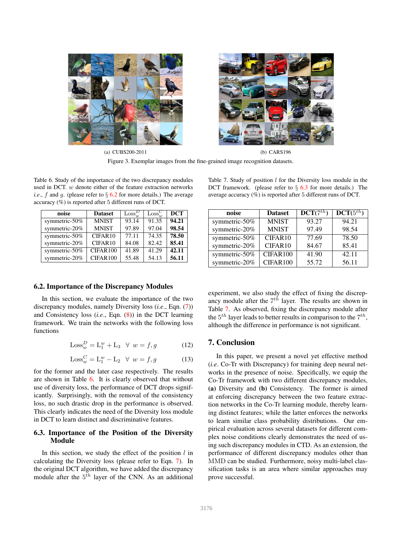



(a) CUBS200-2011 (b) CARS196 Figure 3. Exemplar images from the fine-grained image recognition datasets.

Table 6. Study of the importance of the two discrepancy modules used in DCT.  $w$  denote either of the feature extraction networks *i.e.*, f and g. (please refer to  $\S 6.2$  for more details.) The average accuracy (%) is reported after 5 different runs of DCT.

| noise         | <b>Dataset</b> | $\text{Loss}_{w}^{D}$ | $\text{Loss}_{w}^C$ | <b>DCT</b> |
|---------------|----------------|-----------------------|---------------------|------------|
| symmetric-50% | <b>MNIST</b>   | 93.14                 | 91.35               | 94.21      |
| symmetric-20% | <b>MNIST</b>   | 97.89                 | 97.04               | 98.54      |
| symmetric-50% | CIFAR10        | 77.11                 | 74.35               | 78.50      |
| symmetric-20% | CIFAR10        | 84.08                 | 82.42               | 85.41      |
| symmetric-50% | CIFAR100       | 41.89                 | 41.29               | 42.11      |
| symmetric-20% | CIFAR100       | 55.48                 | 54.13               | 56.11      |

#### 6.2. Importance of the Discrepancy Modules

In this section, we evaluate the importance of the two discrepancy modules, namely Diversity loss (*i.e*., Eqn. (7)) and Consistency loss (*i.e*., Eqn. (8)) in the DCT learning framework. We train the networks with the following loss functions

$$
Loss_w^D = L_1^w + L_3 \quad \forall \ w = f, g \tag{12}
$$

$$
Loss_w^C = \mathcal{L}_1^w - \mathcal{L}_2 \quad \forall \ w = f, g \tag{13}
$$

for the former and the later case respectively. The results are shown in Table 6. It is clearly observed that without use of diversity loss, the performance of DCT drops significantly. Surprisingly, with the removal of the consistency loss, no such drastic drop in the performance is observed. This clearly indicates the need of the Diversity loss module in DCT to learn distinct and discriminative features.

## 6.3. Importance of the Position of the Diversity Module

In this section, we study the effect of the position  $l$  in calculating the Diversity loss (please refer to Eqn. 7). In the original DCT algorithm, we have added the discrepancy module after the  $5<sup>th</sup>$  layer of the CNN. As an additional

Table 7. Study of position  $l$  for the Diversity loss module in the DCT framework. (please refer to  $\S$  6.3 for more details.) The average accuracy (%) is reported after 5 different runs of DCT.

| noise         | <b>Dataset</b> | DCT(7 <sup>th</sup> ) | $DCT(5^{th})$ |
|---------------|----------------|-----------------------|---------------|
| symmetric-50% | <b>MNIST</b>   | 93.27                 | 94.21         |
| symmetric-20% | <b>MNIST</b>   | 97.49                 | 98.54         |
| symmetric-50% | CIFAR10        | 77.69                 | 78.50         |
| symmetric-20% | CIFAR10        | 84.67                 | 85.41         |
| symmetric-50% | CIFAR100       | 41.90                 | 42.11         |
| symmetric-20% | CIFAR100       | 55.72                 | 56.11         |

experiment, we also study the effect of fixing the discrepancy module after the  $7<sup>th</sup>$  layer. The results are shown in Table 7. As observed, fixing the discrepancy module after the  $5^{th}$  layer leads to better results in comparison to the  $7^{th}$ , although the difference in performance is not significant.

#### 7. Conclusion

In this paper, we present a novel yet effective method (*i.e*. Co-Tr with Discrepancy) for training deep neural networks in the presence of noise. Specifically, we equip the Co-Tr framework with two different discrepancy modules, (a) Diversity and (b) Consistency. The former is aimed at enforcing discrepancy between the two feature extraction networks in the Co-Tr learning module, thereby learning distinct features; while the latter enforces the networks to learn similar class probability distributions. Our empirical evaluation across several datasets for different complex noise conditions clearly demonstrates the need of using such discrepancy modules in CTD. As an extension, the performance of different discrepancy modules other than MMD can be studied. Furthermore, noisy multi-label classification tasks is an area where similar approaches may prove successful.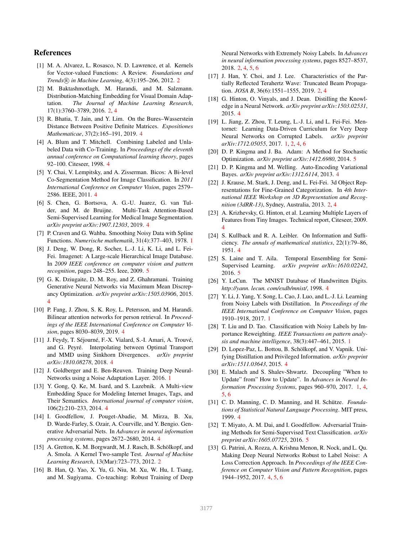## References

- [1] M. A. Alvarez, L. Rosasco, N. D. Lawrence, et al. Kernels for Vector-valued Functions: A Review. *Foundations and Trends* <sup>R</sup> *in Machine Learning*, 4(3):195–266, 2012. 2
- [2] M. Baktashmotlagh, M. Harandi, and M. Salzmann. Distribution-Matching Embedding for Visual Domain Adaptation. *The Journal of Machine Learning Research*, 17(1):3760–3789, 2016. 2, 4
- [3] R. Bhatia, T. Jain, and Y. Lim. On the Bures–Wasserstein Distance Between Positive Definite Matrices. *Expositiones Mathematicae*, 37(2):165–191, 2019. 4
- [4] A. Blum and T. Mitchell. Combining Labeled and Unlabeled Data with Co-Training. In *Proceedings of the eleventh annual conference on Computational learning theory*, pages 92–100. Citeseer, 1998. 4
- [5] Y. Chai, V. Lempitsky, and A. Zisserman. Bicos: A Bi-level Co-Segmentation Method for Image Classification. In *2011 International Conference on Computer Vision*, pages 2579– 2586. IEEE, 2011. 4
- [6] S. Chen, G. Bortsova, A. G.-U. Juarez, G. van Tulder, and M. de Bruijne. Multi-Task Attention-Based Semi-Supervised Learning for Medical Image Segmentation. *arXiv preprint arXiv:1907.12303*, 2019. 4
- [7] P. Craven and G. Wahba. Smoothing Noisy Data with Spline Functions. *Numerische mathematik*, 31(4):377–403, 1978. 1
- [8] J. Deng, W. Dong, R. Socher, L.-J. Li, K. Li, and L. Fei-Fei. Imagenet: A Large-scale Hierarchical Image Database. In *2009 IEEE conference on computer vision and pattern recognition*, pages 248–255. Ieee, 2009. 5
- [9] G. K. Dziugaite, D. M. Roy, and Z. Ghahramani. Training Generative Neural Networks via Maximum Mean Discrepancy Optimization. *arXiv preprint arXiv:1505.03906*, 2015. 4
- [10] P. Fang, J. Zhou, S. K. Roy, L. Petersson, and M. Harandi. Bilinear attention networks for person retrieval. In *Proceedings of the IEEE International Conference on Computer Vision*, pages 8030–8039, 2019. 4
- [11] J. Feydy, T. Séjourné, F.-X. Vialard, S.-I. Amari, A. Trouvé, and G. Peyré. Interpolating between Optimal Transport and MMD using Sinkhorn Divergences. *arXiv preprint arXiv:1810.08278*, 2018. 4
- [12] J. Goldberger and E. Ben-Reuven. Training Deep Neural-Networks using a Noise Adaptation Layer. 2016. 1
- [13] Y. Gong, Q. Ke, M. Isard, and S. Lazebnik. A Multi-view Embedding Space for Modeling Internet Images, Tags, and Their Semantics. *International journal of computer vision*, 106(2):210–233, 2014. 4
- [14] I. Goodfellow, J. Pouget-Abadie, M. Mirza, B. Xu, D. Warde-Farley, S. Ozair, A. Courville, and Y. Bengio. Generative Adversarial Nets. In *Advances in neural information processing systems*, pages 2672–2680, 2014. 4
- [15] A. Gretton, K. M. Borgwardt, M. J. Rasch, B. Schölkopf, and A. Smola. A Kernel Two-sample Test. *Journal of Machine Learning Research*, 13(Mar):723–773, 2012. 2
- [16] B. Han, Q. Yao, X. Yu, G. Niu, M. Xu, W. Hu, I. Tsang, and M. Sugiyama. Co-teaching: Robust Training of Deep

Neural Networks with Extremely Noisy Labels. In *Advances in neural information processing systems*, pages 8527–8537, 2018. 2, 4, 5, 6

- [17] J. Han, Y. Choi, and J. Lee. Characteristics of the Partially Reflected Terahertz Wave: Truncated Beam Propagation. *JOSA B*, 36(6):1551–1555, 2019. 2, 4
- [18] G. Hinton, O. Vinyals, and J. Dean. Distilling the Knowledge in a Neural Network. *arXiv preprint arXiv:1503.02531*, 2015. 4
- [19] L. Jiang, Z. Zhou, T. Leung, L.-J. Li, and L. Fei-Fei. Mentornet: Learning Data-Driven Curriculum for Very Deep Neural Networks on Corrupted Labels. *arXiv preprint arXiv:1712.05055*, 2017. 1, 2, 4, 6
- [20] D. P. Kingma and J. Ba. Adam: A Method for Stochastic Optimization. *arXiv preprint arXiv:1412.6980*, 2014. 5
- [21] D. P. Kingma and M. Welling. Auto-Encoding Variational Bayes. *arXiv preprint arXiv:1312.6114*, 2013. 4
- [22] J. Krause, M. Stark, J. Deng, and L. Fei-Fei. 3d Object Representations for Fine-Grained Categorization. In *4th International IEEE Workshop on 3D Representation and Recognition (3dRR-13)*, Sydney, Australia, 2013. 2, 4
- [23] A. Krizhevsky, G. Hinton, et al. Learning Multiple Layers of Features from Tiny Images. Technical report, Citeseer, 2009. 4
- [24] S. Kullback and R. A. Leibler. On Information and Sufficiency. *The annals of mathematical statistics*, 22(1):79–86, 1951. 4
- [25] S. Laine and T. Aila. Temporal Ensembling for Semi-Supervised Learning. *arXiv preprint arXiv:1610.02242*, 2016. 5
- [26] Y. LeCun. The MNIST Database of Handwritten Digits. *http://yann. lecun. com/exdb/mnist/*, 1998. 4
- [27] Y. Li, J. Yang, Y. Song, L. Cao, J. Luo, and L.-J. Li. Learning from Noisy Labels with Distillation. In *Proceedings of the IEEE International Conference on Computer Vision*, pages 1910–1918, 2017. 1
- [28] T. Liu and D. Tao. Classification with Noisy Labels by Importance Reweighting. *IEEE Transactions on pattern analysis and machine intelligence*, 38(3):447–461, 2015. 1
- [29] D. Lopez-Paz, L. Bottou, B. Schölkopf, and V. Vapnik. Unifying Distillation and Privileged Information. *arXiv preprint arXiv:1511.03643*, 2015. 4
- [30] E. Malach and S. Shalev-Shwartz. Decoupling "When to Update" from" How to Update". In *Advances in Neural Information Processing Systems*, pages 960–970, 2017. 1, 4, 5, 6
- [31] C. D. Manning, C. D. Manning, and H. Schütze. *Foundations of Statistical Natural Language Processing*. MIT press, 1999. 4
- [32] T. Miyato, A. M. Dai, and I. Goodfellow. Adversarial Training Methods for Semi-Supervised Text Classification. *arXiv preprint arXiv:1605.07725*, 2016. 5
- [33] G. Patrini, A. Rozza, A. Krishna Menon, R. Nock, and L. Qu. Making Deep Neural Networks Robust to Label Noise: A Loss Correction Approach. In *Proceedings of the IEEE Conference on Computer Vision and Pattern Recognition*, pages 1944–1952, 2017. 4, 5, 6